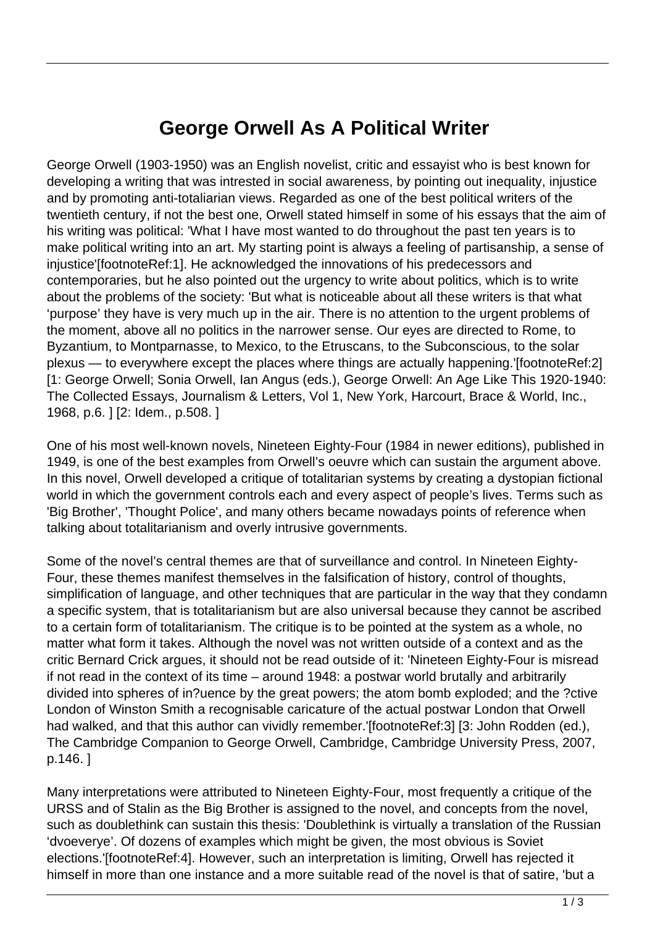## **George Orwell As A Political Writer**

George Orwell (1903-1950) was an English novelist, critic and essayist who is best known for developing a writing that was intrested in social awareness, by pointing out inequality, injustice and by promoting anti-totaliarian views. Regarded as one of the best political writers of the twentieth century, if not the best one, Orwell stated himself in some of his essays that the aim of his writing was political: 'What I have most wanted to do throughout the past ten years is to make political writing into an art. My starting point is always a feeling of partisanship, a sense of injustice'[footnoteRef:1]. He acknowledged the innovations of his predecessors and contemporaries, but he also pointed out the urgency to write about politics, which is to write about the problems of the society: 'But what is noticeable about all these writers is that what 'purpose' they have is very much up in the air. There is no attention to the urgent problems of the moment, above all no politics in the narrower sense. Our eyes are directed to Rome, to Byzantium, to Montparnasse, to Mexico, to the Etruscans, to the Subconscious, to the solar plexus — to everywhere except the places where things are actually happening.'[footnoteRef:2] [1: George Orwell; Sonia Orwell, Ian Angus (eds.), George Orwell: An Age Like This 1920-1940: The Collected Essays, Journalism & Letters, Vol 1, New York, Harcourt, Brace & World, Inc., 1968, p.6. ] [2: Idem., p.508. ]

One of his most well-known novels, Nineteen Eighty-Four (1984 in newer editions), published in 1949, is one of the best examples from Orwell's oeuvre which can sustain the argument above. In this novel, Orwell developed a critique of totalitarian systems by creating a dystopian fictional world in which the government controls each and every aspect of people's lives. Terms such as 'Big Brother', 'Thought Police', and many others became nowadays points of reference when talking about totalitarianism and overly intrusive governments.

Some of the novel's central themes are that of surveillance and control. In Nineteen Eighty-Four, these themes manifest themselves in the falsification of history, control of thoughts, simplification of language, and other techniques that are particular in the way that they condamn a specific system, that is totalitarianism but are also universal because they cannot be ascribed to a certain form of totalitarianism. The critique is to be pointed at the system as a whole, no matter what form it takes. Although the novel was not written outside of a context and as the critic Bernard Crick argues, it should not be read outside of it: 'Nineteen Eighty-Four is misread if not read in the context of its time – around 1948: a postwar world brutally and arbitrarily divided into spheres of in?uence by the great powers; the atom bomb exploded; and the ?ctive London of Winston Smith a recognisable caricature of the actual postwar London that Orwell had walked, and that this author can vividly remember.'[footnoteRef:3] [3: John Rodden (ed.), The Cambridge Companion to George Orwell, Cambridge, Cambridge University Press, 2007, p.146. ]

Many interpretations were attributed to Nineteen Eighty-Four, most frequently a critique of the URSS and of Stalin as the Big Brother is assigned to the novel, and concepts from the novel, such as doublethink can sustain this thesis: 'Doublethink is virtually a translation of the Russian 'dvoeverye'. Of dozens of examples which might be given, the most obvious is Soviet elections.'[footnoteRef:4]. However, such an interpretation is limiting, Orwell has rejected it himself in more than one instance and a more suitable read of the novel is that of satire, 'but a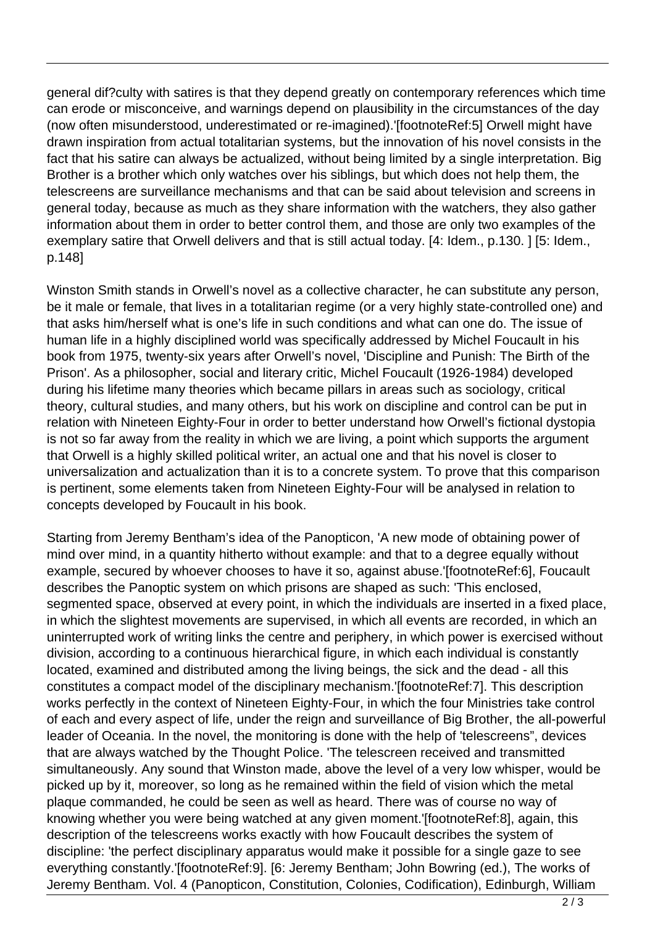general dif?culty with satires is that they depend greatly on contemporary references which time can erode or misconceive, and warnings depend on plausibility in the circumstances of the day (now often misunderstood, underestimated or re-imagined).'[footnoteRef:5] Orwell might have drawn inspiration from actual totalitarian systems, but the innovation of his novel consists in the fact that his satire can always be actualized, without being limited by a single interpretation. Big Brother is a brother which only watches over his siblings, but which does not help them, the telescreens are surveillance mechanisms and that can be said about television and screens in general today, because as much as they share information with the watchers, they also gather information about them in order to better control them, and those are only two examples of the exemplary satire that Orwell delivers and that is still actual today. [4: Idem., p.130. ] [5: Idem., p.148]

Winston Smith stands in Orwell's novel as a collective character, he can substitute any person, be it male or female, that lives in a totalitarian regime (or a very highly state-controlled one) and that asks him/herself what is one's life in such conditions and what can one do. The issue of human life in a highly disciplined world was specifically addressed by Michel Foucault in his book from 1975, twenty-six years after Orwell's novel, 'Discipline and Punish: The Birth of the Prison'. As a philosopher, social and literary critic, Michel Foucault (1926-1984) developed during his lifetime many theories which became pillars in areas such as sociology, critical theory, cultural studies, and many others, but his work on discipline and control can be put in relation with Nineteen Eighty-Four in order to better understand how Orwell's fictional dystopia is not so far away from the reality in which we are living, a point which supports the argument that Orwell is a highly skilled political writer, an actual one and that his novel is closer to universalization and actualization than it is to a concrete system. To prove that this comparison is pertinent, some elements taken from Nineteen Eighty-Four will be analysed in relation to concepts developed by Foucault in his book.

Starting from Jeremy Bentham's idea of the Panopticon, 'A new mode of obtaining power of mind over mind, in a quantity hitherto without example: and that to a degree equally without example, secured by whoever chooses to have it so, against abuse.'[footnoteRef:6], Foucault describes the Panoptic system on which prisons are shaped as such: 'This enclosed, segmented space, observed at every point, in which the individuals are inserted in a fixed place, in which the slightest movements are supervised, in which all events are recorded, in which an uninterrupted work of writing links the centre and periphery, in which power is exercised without division, according to a continuous hierarchical figure, in which each individual is constantly located, examined and distributed among the living beings, the sick and the dead - all this constitutes a compact model of the disciplinary mechanism.'[footnoteRef:7]. This description works perfectly in the context of Nineteen Eighty-Four, in which the four Ministries take control of each and every aspect of life, under the reign and surveillance of Big Brother, the all-powerful leader of Oceania. In the novel, the monitoring is done with the help of 'telescreens", devices that are always watched by the Thought Police. 'The telescreen received and transmitted simultaneously. Any sound that Winston made, above the level of a very low whisper, would be picked up by it, moreover, so long as he remained within the field of vision which the metal plaque commanded, he could be seen as well as heard. There was of course no way of knowing whether you were being watched at any given moment.'[footnoteRef:8], again, this description of the telescreens works exactly with how Foucault describes the system of discipline: 'the perfect disciplinary apparatus would make it possible for a single gaze to see everything constantly.'[footnoteRef:9]. [6: Jeremy Bentham; John Bowring (ed.), The works of Jeremy Bentham. Vol. 4 (Panopticon, Constitution, Colonies, Codification), Edinburgh, William